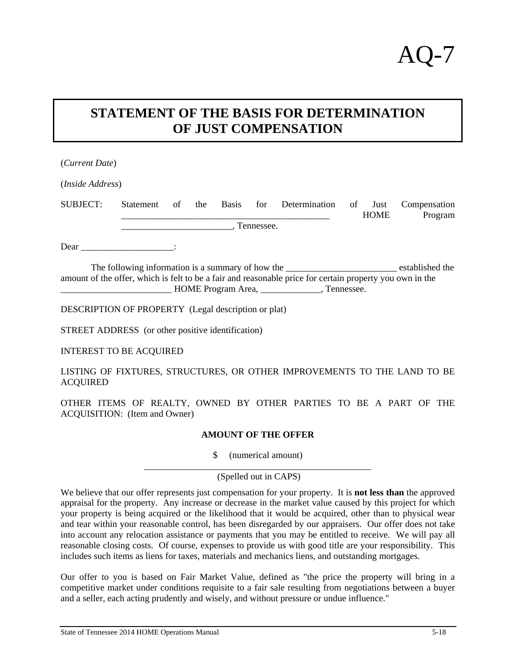## **STATEMENT OF THE BASIS FOR DETERMINATION OF JUST COMPENSATION**

| (Current Date)                                                                                           |           |    |     |  |  |                         |    |                     |                         |
|----------------------------------------------------------------------------------------------------------|-----------|----|-----|--|--|-------------------------|----|---------------------|-------------------------|
| ( <i>Inside Address</i> )                                                                                |           |    |     |  |  |                         |    |                     |                         |
| SUBJECT:                                                                                                 | Statement | of | the |  |  | Basis for Determination | of | Just<br><b>HOME</b> | Compensation<br>Program |
| Tennessee.                                                                                               |           |    |     |  |  |                         |    |                     |                         |
| Dear $\qquad \qquad$ :                                                                                   |           |    |     |  |  |                         |    |                     |                         |
| amount of the offer, which is felt to be a fair and reasonable price for certain property you own in the |           |    |     |  |  |                         |    |                     |                         |
| <b>DESCRIPTION OF PROPERTY</b> (Legal description or plat)                                               |           |    |     |  |  |                         |    |                     |                         |

STREET ADDRESS (or other positive identification)

INTEREST TO BE ACQUIRED

LISTING OF FIXTURES, STRUCTURES, OR OTHER IMPROVEMENTS TO THE LAND TO BE **ACOUIRED** 

OTHER ITEMS OF REALTY, OWNED BY OTHER PARTIES TO BE A PART OF THE ACQUISITION: (Item and Owner)

## **AMOUNT OF THE OFFER**

\$ (numerical amount)

\_\_\_\_\_\_\_\_\_\_\_\_\_\_\_\_\_\_\_\_\_\_\_\_\_\_\_\_\_\_\_\_\_\_\_\_\_\_\_\_\_\_\_\_\_\_\_\_\_ (Spelled out in CAPS)

We believe that our offer represents just compensation for your property. It is **not less than** the approved appraisal for the property. Any increase or decrease in the market value caused by this project for which your property is being acquired or the likelihood that it would be acquired, other than to physical wear and tear within your reasonable control, has been disregarded by our appraisers. Our offer does not take into account any relocation assistance or payments that you may be entitled to receive. We will pay all reasonable closing costs. Of course, expenses to provide us with good title are your responsibility. This includes such items as liens for taxes, materials and mechanics liens, and outstanding mortgages.

Our offer to you is based on Fair Market Value, defined as "the price the property will bring in a competitive market under conditions requisite to a fair sale resulting from negotiations between a buyer and a seller, each acting prudently and wisely, and without pressure or undue influence."